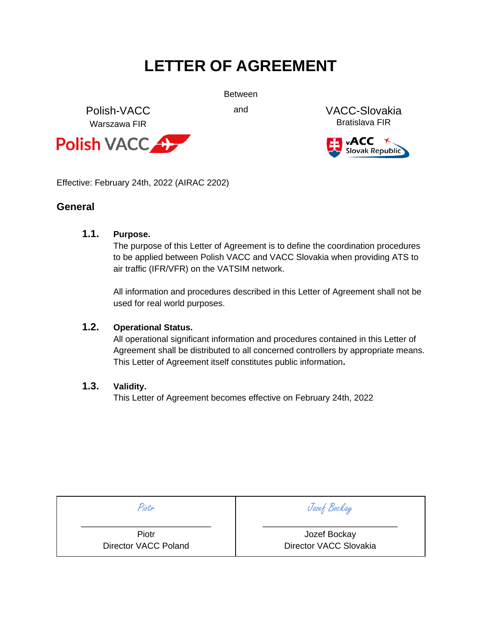# **LETTER OF AGREEMENT**

Between

Polish-VACC Warszawa FIR



and VACC-Slovakia Bratislava FIR



Effective: February 24th, 2022 (AIRAC 2202)

### **General**

### **1.1. Purpose.**

The purpose of this Letter of Agreement is to define the coordination procedures to be applied between Polish VACC and VACC Slovakia when providing ATS to air traffic (IFR/VFR) on the VATSIM network.

All information and procedures described in this Letter of Agreement shall not be used for real world purposes.

### **1.2. Operational Status.**

All operational significant information and procedures contained in this Letter of Agreement shall be distributed to all concerned controllers by appropriate means. This Letter of Agreement itself constitutes public information**.** 

### **1.3. Validity.**

This Letter of Agreement becomes effective on February 24th, 2022

Piotr \_\_\_\_\_\_\_\_\_\_\_\_\_\_\_\_\_\_\_\_\_\_\_\_\_\_\_

> Piotr Director VACC Poland

Jozef Bockay \_\_\_\_\_\_\_\_\_\_\_\_\_\_\_\_\_\_\_\_\_\_\_\_\_\_\_\_

> Jozef Bockay Director VACC Slovakia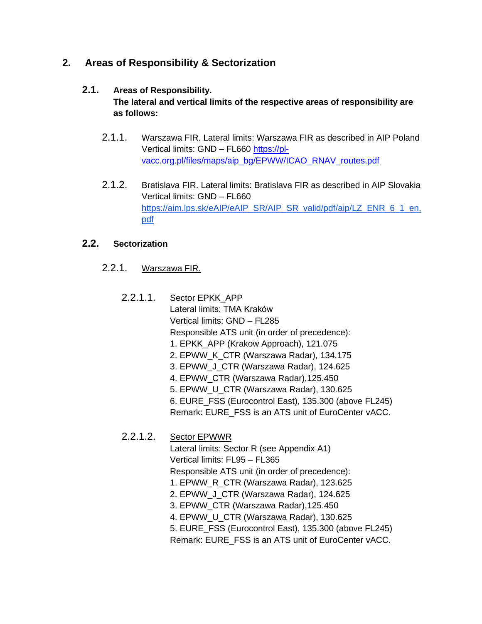# **2. Areas of Responsibility & Sectorization**

# **2.1. Areas of Responsibility.**

**The lateral and vertical limits of the respective areas of responsibility are as follows:** 

- 2.1.1. Warszawa FIR. Lateral limits: Warszawa FIR as described in AIP Poland Vertical limits: GND – FL660 [https://pl](https://pl-vacc.org.pl/files/maps/aip_bg/EPWW/ICAO_RNAV_routes.pdf)[vacc.org.pl/files/maps/aip\\_bg/EPWW/ICAO\\_RNAV\\_routes.pdf](https://pl-vacc.org.pl/files/maps/aip_bg/EPWW/ICAO_RNAV_routes.pdf)
- 2.1.2. Bratislava FIR. Lateral limits: Bratislava FIR as described in AIP Slovakia Vertical limits: GND – FL660 [https://aim.lps.sk/eAIP/eAIP\\_SR/AIP\\_SR\\_valid/pdf/aip/LZ\\_ENR\\_6\\_1\\_en.](https://aim.lps.sk/eAIP/eAIP_SR/AIP_SR_valid/pdf/aip/LZ_ENR_6_1_en.pdf) [pdf](https://aim.lps.sk/eAIP/eAIP_SR/AIP_SR_valid/pdf/aip/LZ_ENR_6_1_en.pdf)

# **2.2. Sectorization**

- 2.2.1. Warszawa FIR.
	- 2.2.1.1. Sector EPKK\_APP Lateral limits: TMA Kraków Vertical limits: GND – FL285 Responsible ATS unit (in order of precedence): 1. EPKK\_APP (Krakow Approach), 121.075 2. EPWW\_K\_CTR (Warszawa Radar), 134.175 3. EPWW\_J\_CTR (Warszawa Radar), 124.625 4. EPWW\_CTR (Warszawa Radar),125.450 5. EPWW\_U\_CTR (Warszawa Radar), 130.625 6. EURE\_FSS (Eurocontrol East), 135.300 (above FL245) Remark: EURE\_FSS is an ATS unit of EuroCenter vACC.
	- 2.2.1.2. Sector EPWWR

Lateral limits: Sector R (see Appendix A1) Vertical limits: FL95 – FL365 Responsible ATS unit (in order of precedence): 1. EPWW\_R\_CTR (Warszawa Radar), 123.625 2. EPWW\_J\_CTR (Warszawa Radar), 124.625

- 3. EPWW\_CTR (Warszawa Radar),125.450
- 4. EPWW\_U\_CTR (Warszawa Radar), 130.625
- 5. EURE\_FSS (Eurocontrol East), 135.300 (above FL245)

Remark: EURE\_FSS is an ATS unit of EuroCenter vACC.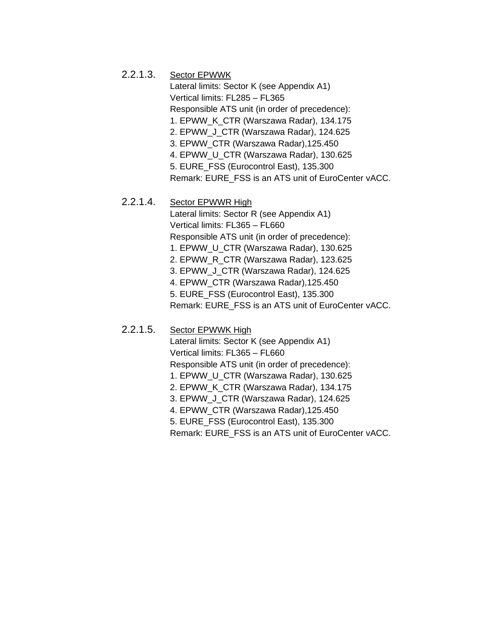### 2.2.1.3. Sector EPWWK

Lateral limits: Sector K (see Appendix A1) Vertical limits: FL285 – FL365 Responsible ATS unit (in order of precedence): 1. EPWW\_K\_CTR (Warszawa Radar), 134.175 2. EPWW\_J\_CTR (Warszawa Radar), 124.625 3. EPWW\_CTR (Warszawa Radar),125.450 4. EPWW\_U\_CTR (Warszawa Radar), 130.625 5. EURE\_FSS (Eurocontrol East), 135.300 Remark: EURE\_FSS is an ATS unit of EuroCenter vACC.

### 2.2.1.4. Sector EPWWR High

Lateral limits: Sector R (see Appendix A1) Vertical limits: FL365 – FL660 Responsible ATS unit (in order of precedence): 1. EPWW\_U\_CTR (Warszawa Radar), 130.625 2. EPWW\_R\_CTR (Warszawa Radar), 123.625 3. EPWW\_J\_CTR (Warszawa Radar), 124.625 4. EPWW\_CTR (Warszawa Radar),125.450 5. EURE\_FSS (Eurocontrol East), 135.300 Remark: EURE\_FSS is an ATS unit of EuroCenter vACC.

### 2.2.1.5. Sector EPWWK High

Lateral limits: Sector K (see Appendix A1) Vertical limits: FL365 – FL660 Responsible ATS unit (in order of precedence): 1. EPWW\_U\_CTR (Warszawa Radar), 130.625 2. EPWW\_K\_CTR (Warszawa Radar), 134.175 3. EPWW\_J\_CTR (Warszawa Radar), 124.625 4. EPWW\_CTR (Warszawa Radar),125.450 5. EURE\_FSS (Eurocontrol East), 135.300 Remark: EURE\_FSS is an ATS unit of EuroCenter vACC.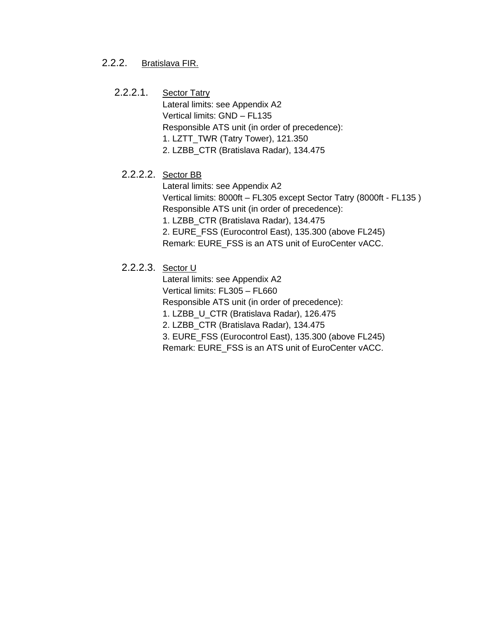### 2.2.2. Bratislava FIR.

### 2.2.2.1. Sector Tatry

Lateral limits: see Appendix A2 Vertical limits: GND – FL135 Responsible ATS unit (in order of precedence): 1. LZTT\_TWR (Tatry Tower), 121.350 2. LZBB\_CTR (Bratislava Radar), 134.475

# 2.2.2.2. Sector BB

Lateral limits: see Appendix A2 Vertical limits: 8000ft – FL305 except Sector Tatry (8000ft - FL135 ) Responsible ATS unit (in order of precedence):

1. LZBB\_CTR (Bratislava Radar), 134.475

2. EURE\_FSS (Eurocontrol East), 135.300 (above FL245) Remark: EURE\_FSS is an ATS unit of EuroCenter vACC.

### 2.2.2.3. Sector U

Lateral limits: see Appendix A2

Vertical limits: FL305 – FL660

Responsible ATS unit (in order of precedence):

1. LZBB\_U\_CTR (Bratislava Radar), 126.475

2. LZBB\_CTR (Bratislava Radar), 134.475

3. EURE\_FSS (Eurocontrol East), 135.300 (above FL245) Remark: EURE\_FSS is an ATS unit of EuroCenter vACC.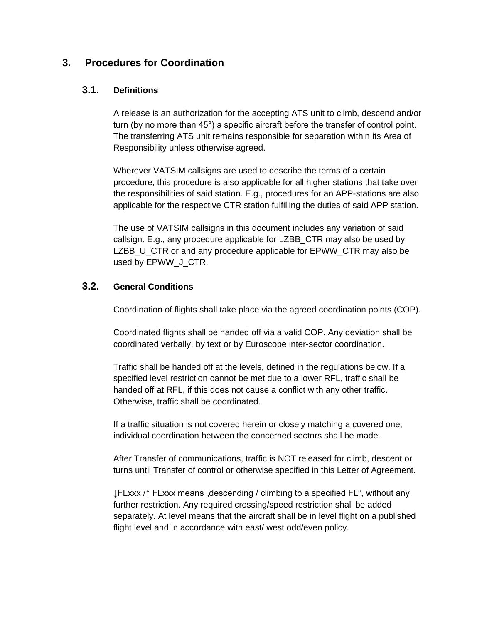# **3. Procedures for Coordination**

### **3.1. Definitions**

A release is an authorization for the accepting ATS unit to climb, descend and/or turn (by no more than 45°) a specific aircraft before the transfer of control point. The transferring ATS unit remains responsible for separation within its Area of Responsibility unless otherwise agreed.

Wherever VATSIM callsigns are used to describe the terms of a certain procedure, this procedure is also applicable for all higher stations that take over the responsibilities of said station. E.g., procedures for an APP-stations are also applicable for the respective CTR station fulfilling the duties of said APP station.

The use of VATSIM callsigns in this document includes any variation of said callsign. E.g., any procedure applicable for LZBB\_CTR may also be used by LZBB\_U\_CTR or and any procedure applicable for EPWW\_CTR may also be used by EPWW J CTR.

### **3.2. General Conditions**

Coordination of flights shall take place via the agreed coordination points (COP).

Coordinated flights shall be handed off via a valid COP. Any deviation shall be coordinated verbally, by text or by Euroscope inter-sector coordination.

Traffic shall be handed off at the levels, defined in the regulations below. If a specified level restriction cannot be met due to a lower RFL, traffic shall be handed off at RFL, if this does not cause a conflict with any other traffic. Otherwise, traffic shall be coordinated.

If a traffic situation is not covered herein or closely matching a covered one, individual coordination between the concerned sectors shall be made.

After Transfer of communications, traffic is NOT released for climb, descent or turns until Transfer of control or otherwise specified in this Letter of Agreement.

↓FLxxx /↑ FLxxx means "descending / climbing to a specified FL", without any further restriction. Any required crossing/speed restriction shall be added separately. At level means that the aircraft shall be in level flight on a published flight level and in accordance with east/ west odd/even policy.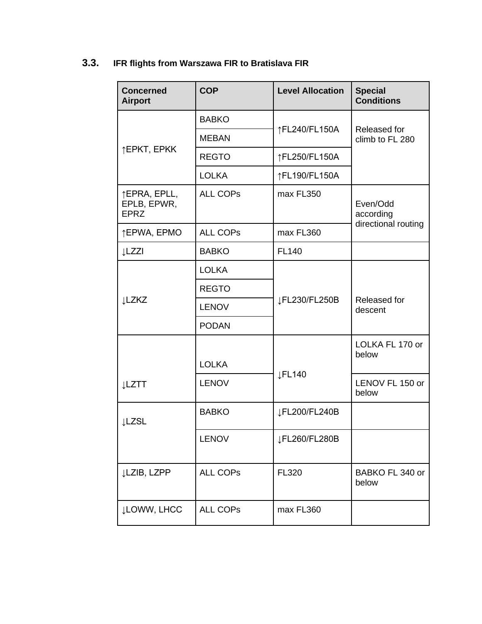# **3.3. IFR flights from Warszawa FIR to Bratislava FIR**

| <b>Concerned</b><br><b>Airport</b>         | <b>COP</b>      | <b>Level Allocation</b> | <b>Special</b><br><b>Conditions</b>          |
|--------------------------------------------|-----------------|-------------------------|----------------------------------------------|
| ↑EPKT, EPKK                                | <b>BABKO</b>    | ↑FL240/FL150A           | Released for<br>climb to FL 280              |
|                                            | <b>MEBAN</b>    |                         |                                              |
|                                            | <b>REGTO</b>    | ↑FL250/FL150A           |                                              |
|                                            | <b>LOLKA</b>    | ↑FL190/FL150A           |                                              |
| ↑EPRA, EPLL,<br>EPLB, EPWR,<br><b>EPRZ</b> | <b>ALL COPS</b> | max FL350               | Even/Odd<br>according<br>directional routing |
| ↑EPWA, EPMO                                | <b>ALL COPS</b> | max FL360               |                                              |
| ↓LZZI                                      | <b>BABKO</b>    | <b>FL140</b>            |                                              |
| <b>LZKZ</b>                                | <b>LOLKA</b>    | JFL230/FL250B           |                                              |
|                                            | <b>REGTO</b>    |                         | Released for<br>descent                      |
|                                            | <b>LENOV</b>    |                         |                                              |
|                                            | <b>PODAN</b>    |                         |                                              |
|                                            | <b>LOLKA</b>    | <b>JFL140</b>           | LOLKA FL 170 or<br>below                     |
| <b>LZTT</b>                                | <b>LENOV</b>    |                         | LENOV FL 150 or<br>below                     |
| <b>LZSL</b>                                | <b>BABKO</b>    | JFL200/FL240B           |                                              |
|                                            | <b>LENOV</b>    | JFL260/FL280B           |                                              |
| ↓LZIB, LZPP                                | <b>ALL COPS</b> | FL320                   | BABKO FL 340 or<br>below                     |
| <b>JLOWW, LHCC</b>                         | <b>ALL COPS</b> | max FL360               |                                              |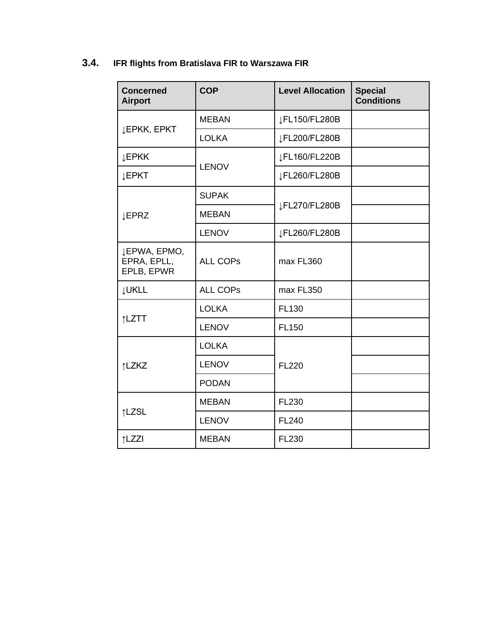# **3.4. IFR flights from Bratislava FIR to Warszawa FIR**

| <b>Concerned</b><br><b>Airport</b>        | <b>COP</b>      | <b>Level Allocation</b> | <b>Special</b><br><b>Conditions</b> |
|-------------------------------------------|-----------------|-------------------------|-------------------------------------|
| <b>JEPKK, EPKT</b>                        | <b>MEBAN</b>    | JFL150/FL280B           |                                     |
|                                           | <b>LOLKA</b>    | JFL200/FL280B           |                                     |
| <b>JEPKK</b>                              | <b>LENOV</b>    | JFL160/FL220B           |                                     |
| <b>JEPKT</b>                              |                 | JFL260/FL280B           |                                     |
| <b>JEPRZ</b>                              | <b>SUPAK</b>    | JFL270/FL280B           |                                     |
|                                           | <b>MEBAN</b>    |                         |                                     |
|                                           | <b>LENOV</b>    | JFL260/FL280B           |                                     |
| JEPWA, EPMO,<br>EPRA, EPLL,<br>EPLB, EPWR | <b>ALL COPS</b> | max FL360               |                                     |
| <b>JUKLL</b>                              | <b>ALL COPS</b> | max FL350               |                                     |
| ↑LZTT                                     | <b>LOLKA</b>    | FL130                   |                                     |
|                                           | <b>LENOV</b>    | <b>FL150</b>            |                                     |
| ↑LZKZ                                     | <b>LOLKA</b>    | <b>FL220</b>            |                                     |
|                                           | <b>LENOV</b>    |                         |                                     |
|                                           | <b>PODAN</b>    |                         |                                     |
| ↑LZSL                                     | <b>MEBAN</b>    | <b>FL230</b>            |                                     |
|                                           | <b>LENOV</b>    | <b>FL240</b>            |                                     |
| ↑LZZI                                     | <b>MEBAN</b>    | <b>FL230</b>            |                                     |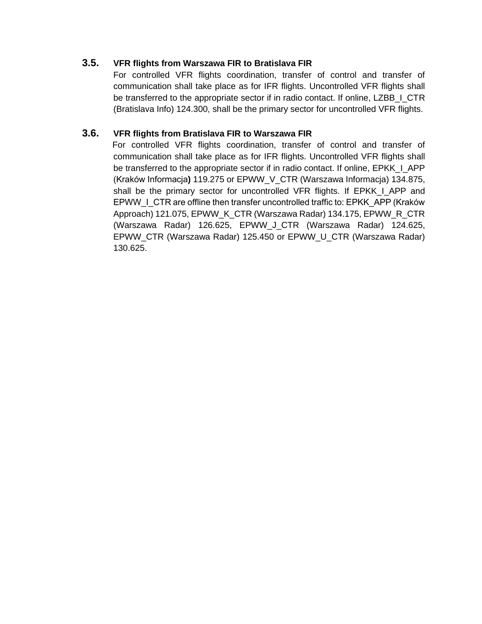### **3.5. VFR flights from Warszawa FIR to Bratislava FIR**

For controlled VFR flights coordination, transfer of control and transfer of communication shall take place as for IFR flights. Uncontrolled VFR flights shall be transferred to the appropriate sector if in radio contact. If online, LZBB\_I\_CTR (Bratislava Info) 124.300, shall be the primary sector for uncontrolled VFR flights.

### **3.6. VFR flights from Bratislava FIR to Warszawa FIR**

For controlled VFR flights coordination, transfer of control and transfer of communication shall take place as for IFR flights. Uncontrolled VFR flights shall be transferred to the appropriate sector if in radio contact. If online, EPKK\_I\_APP (Kraków Informacja**)** 119.275 or EPWW\_V\_CTR (Warszawa Informacja) 134.875, shall be the primary sector for uncontrolled VFR flights. If EPKK I APP and EPWW\_I\_CTR are offline then transfer uncontrolled traffic to: EPKK\_APP (Kraków Approach) 121.075, EPWW\_K\_CTR (Warszawa Radar) 134.175, EPWW\_R\_CTR (Warszawa Radar) 126.625, EPWW\_J\_CTR (Warszawa Radar) 124.625, EPWW\_CTR (Warszawa Radar) 125.450 or EPWW\_U\_CTR (Warszawa Radar) 130.625.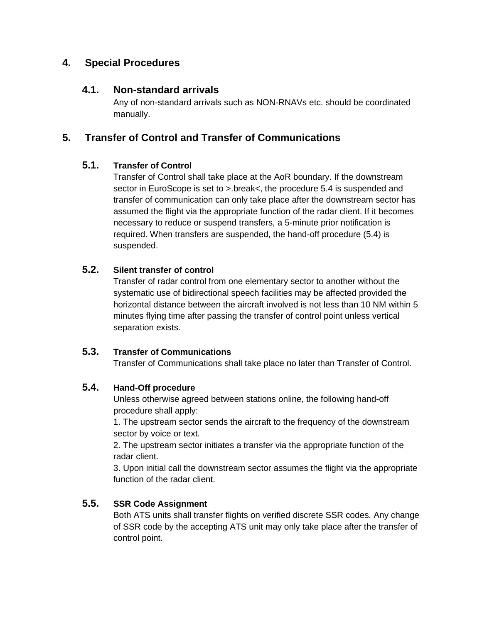# **4. Special Procedures**

# **4.1. Non-standard arrivals**

Any of non-standard arrivals such as NON-RNAVs etc. should be coordinated manually.

# **5. Transfer of Control and Transfer of Communications**

# **5.1. Transfer of Control**

Transfer of Control shall take place at the AoR boundary. If the downstream sector in EuroScope is set to >.break<, the procedure 5.4 is suspended and transfer of communication can only take place after the downstream sector has assumed the flight via the appropriate function of the radar client. If it becomes necessary to reduce or suspend transfers, a 5-minute prior notification is required. When transfers are suspended, the hand-off procedure (5.4) is suspended.

# **5.2. Silent transfer of control**

Transfer of radar control from one elementary sector to another without the systematic use of bidirectional speech facilities may be affected provided the horizontal distance between the aircraft involved is not less than 10 NM within 5 minutes flying time after passing the transfer of control point unless vertical separation exists.

### **5.3. Transfer of Communications**

Transfer of Communications shall take place no later than Transfer of Control.

### **5.4. Hand-Off procedure**

Unless otherwise agreed between stations online, the following hand-off procedure shall apply:

1. The upstream sector sends the aircraft to the frequency of the downstream sector by voice or text.

2. The upstream sector initiates a transfer via the appropriate function of the radar client.

3. Upon initial call the downstream sector assumes the flight via the appropriate function of the radar client.

# **5.5. SSR Code Assignment**

Both ATS units shall transfer flights on verified discrete SSR codes. Any change of SSR code by the accepting ATS unit may only take place after the transfer of control point.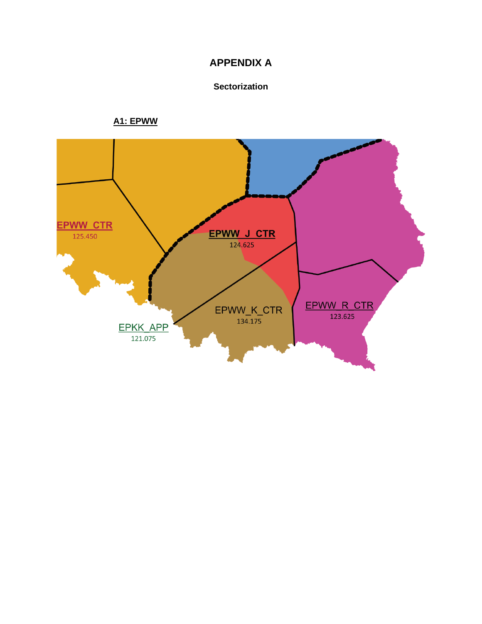# **APPENDIX A**

#### Sectorization

# **A1: EPWW**